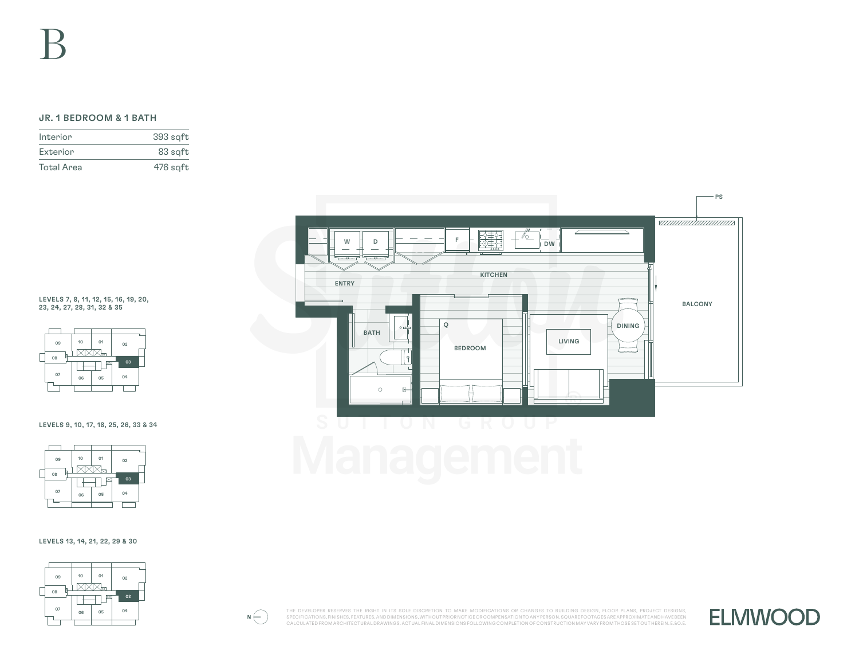## JR. 1 BEDROOM & 1 BATH

| Interior          | 393 sgft |
|-------------------|----------|
| Exterior          | 83 sqft  |
| <b>Total Area</b> | 476 sqft |



LEVELS 7, 8, 11, 12, 15, 16, 19, 20, 23, 24, 27, 28, 31, 32 & 35



## LEVELS 9, 10, 17, 18, 25, 26, 33 & 34



## LEVELS 13, 14, 21, 22, 29 & 30



 $N\bigoplus$ 

THE DEVELOPER RESERVES THE RIGHT IN ITS SOLE DISCRETION TO MAKE MODIFICATIONS OR CHANGES TO BUILDING DESIGN, FLOOR PLANS, PROJECT DESIGNS, SPECIFICATIONS, FINISHES, FEATURES, AND DIMENSIONS, WITHOUT PRIOR NOTICE OR COMPENSATION TO ANY PERSON. SQUARE FOOTAGES ARE APPROXIMATE AND HAVE BEEN CALCULATED FROM ARCHITECTURAL DRAWINGS. ACTUAL FINAL DIMENSIONS FOLLOWING COMPLETION OF CONSTRUCTION MAY VARY FROM THOSE SET OUT HEREIN. E.&O.E.